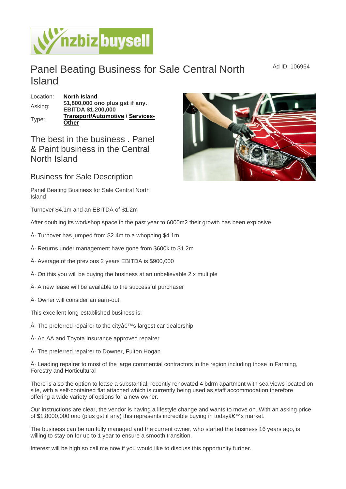## Panel Beating Business for Sale Central North **Island**

Location: [North Island](https://www.nzbizbuysell.co.nz/businesses-for-sale/location/North-Island) Asking:  $\frac{$1,800,000}{51,800,000}$  ono plus gst if any. EBITDA \$1,200,000 Type: [Transport/Automotive](https://www.nzbizbuysell.co.nz/businesses-for-sale/Transport--Automotive/New-Zealand) / [Services-](https://www.nzbizbuysell.co.nz/businesses-for-sale/Services/New-Zealand)**[Other](https://www.nzbizbuysell.co.nz/businesses-for-sale/Services/New-Zealand)** 

## The best in the business . Panel & Paint business in the Central North Island

## Business for Sale Description

Panel Beating Business for Sale Central North Island

Turnover \$4.1m and an EBITDA of \$1.2m

After doubling its workshop space in the past year to 6000m2 their growth has been explosive.

· Turnover has jumped from \$2.4m to a whopping \$4.1m

· Returns under management have gone from \$600k to \$1.2m

· Average of the previous 2 years EBITDA is \$900,000

 $\hat{A}$ . On this you will be buying the business at an unbelievable 2 x multiple

 $\hat{A}$  A new lease will be available to the successful purchaser

· Owner will consider an earn-out.

This excellent long-established business is:

- $\hat{A}$ . The preferred repairer to the city $\hat{a} \in T^{M}$ s largest car dealership
- · An AA and Toyota Insurance approved repairer

· The preferred repairer to Downer, Fulton Hogan

 $\hat{A}$ . Leading repairer to most of the large commercial contractors in the region including those in Farming, Forestry and Horticultural

There is also the option to lease a substantial, recently renovated 4 bdrm apartment with sea views located on site, with a self-contained flat attached which is currently being used as staff accommodation therefore offering a wide variety of options for a new owner.

Our instructions are clear, the vendor is having a lifestyle change and wants to move on. With an asking price of \$1,8000,000 ono (plus gst if any) this represents incredible buying in today's market.

The business can be run fully managed and the current owner, who started the business 16 years ago, is willing to stay on for up to 1 year to ensure a smooth transition.

Interest will be high so call me now if you would like to discuss this opportunity further.